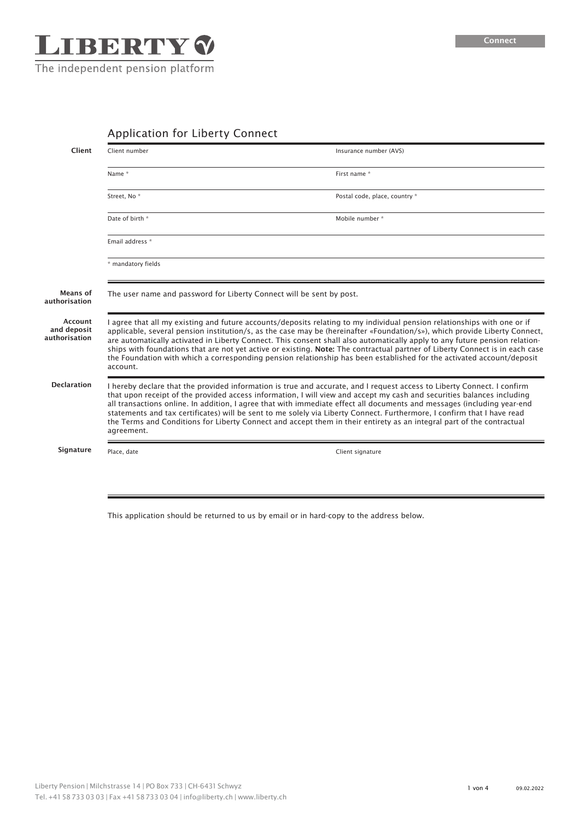

# Application for Liberty Connect

| Client                                  | Client number                                                                                                                                                                                                                                                                                                                                                                                                                                                                                                                                                                                                                                              | Insurance number (AVS)        |
|-----------------------------------------|------------------------------------------------------------------------------------------------------------------------------------------------------------------------------------------------------------------------------------------------------------------------------------------------------------------------------------------------------------------------------------------------------------------------------------------------------------------------------------------------------------------------------------------------------------------------------------------------------------------------------------------------------------|-------------------------------|
|                                         | Name *                                                                                                                                                                                                                                                                                                                                                                                                                                                                                                                                                                                                                                                     | First name *                  |
|                                         | Street, No <sup>*</sup>                                                                                                                                                                                                                                                                                                                                                                                                                                                                                                                                                                                                                                    | Postal code, place, country * |
|                                         | Date of birth *                                                                                                                                                                                                                                                                                                                                                                                                                                                                                                                                                                                                                                            | Mobile number *               |
|                                         | Email address *                                                                                                                                                                                                                                                                                                                                                                                                                                                                                                                                                                                                                                            |                               |
|                                         | * mandatory fields                                                                                                                                                                                                                                                                                                                                                                                                                                                                                                                                                                                                                                         |                               |
| Means of<br>authorisation               | The user name and password for Liberty Connect will be sent by post.                                                                                                                                                                                                                                                                                                                                                                                                                                                                                                                                                                                       |                               |
| Account<br>and deposit<br>authorisation | I agree that all my existing and future accounts/deposits relating to my individual pension relationships with one or if<br>applicable, several pension institution/s, as the case may be (hereinafter «Foundation/s»), which provide Liberty Connect,<br>are automatically activated in Liberty Connect. This consent shall also automatically apply to any future pension relation-<br>ships with foundations that are not yet active or existing. Note: The contractual partner of Liberty Connect is in each case<br>the Foundation with which a corresponding pension relationship has been established for the activated account/deposit<br>account. |                               |
| <b>Declaration</b>                      | I hereby declare that the provided information is true and accurate, and I request access to Liberty Connect. I confirm<br>that upon receipt of the provided access information, I will view and accept my cash and securities balances including<br>all transactions online. In addition, I agree that with immediate effect all documents and messages (including year-end<br>statements and tax certificates) will be sent to me solely via Liberty Connect. Furthermore, I confirm that I have read<br>the Terms and Conditions for Liberty Connect and accept them in their entirety as an integral part of the contractual<br>agreement.             |                               |
| Signature                               | Place, date                                                                                                                                                                                                                                                                                                                                                                                                                                                                                                                                                                                                                                                | Client signature              |
|                                         |                                                                                                                                                                                                                                                                                                                                                                                                                                                                                                                                                                                                                                                            |                               |

This application should be returned to us by email or in hard-copy to the address below.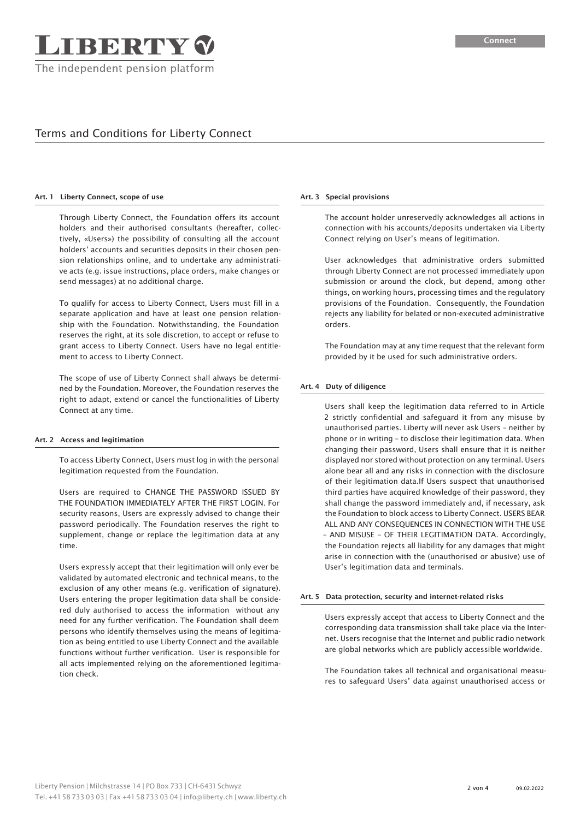# Terms and Conditions for Liberty Connect

## Art. 1 Liberty Connect, scope of use

Through Liberty Connect, the Foundation offers its account holders and their authorised consultants (hereafter, collectively, «Users») the possibility of consulting all the account holders' accounts and securities deposits in their chosen pension relationships online, and to undertake any administrative acts (e.g. issue instructions, place orders, make changes or send messages) at no additional charge.

To qualify for access to Liberty Connect, Users must fill in a separate application and have at least one pension relationship with the Foundation. Notwithstanding, the Foundation reserves the right, at its sole discretion, to accept or refuse to grant access to Liberty Connect. Users have no legal entitlement to access to Liberty Connect.

The scope of use of Liberty Connect shall always be determined by the Foundation. Moreover, the Foundation reserves the right to adapt, extend or cancel the functionalities of Liberty Connect at any time.

## Art. 2 Access and legitimation

To access Liberty Connect, Users must log in with the personal legitimation requested from the Foundation.

Users are required to CHANGE THE PASSWORD ISSUED BY THE FOUNDATION IMMEDIATELY AFTER THE FIRST LOGIN. For security reasons, Users are expressly advised to change their password periodically. The Foundation reserves the right to supplement, change or replace the legitimation data at any time.

Users expressly accept that their legitimation will only ever be validated by automated electronic and technical means, to the exclusion of any other means (e.g. verification of signature). Users entering the proper legitimation data shall be considered duly authorised to access the information without any need for any further verification. The Foundation shall deem persons who identify themselves using the means of legitimation as being entitled to use Liberty Connect and the available functions without further verification. User is responsible for all acts implemented relying on the aforementioned legitimation check.

### Art. 3 Special provisions

The account holder unreservedly acknowledges all actions in connection with his accounts/deposits undertaken via Liberty Connect relying on User's means of legitimation.

User acknowledges that administrative orders submitted through Liberty Connect are not processed immediately upon submission or around the clock, but depend, among other things, on working hours, processing times and the regulatory provisions of the Foundation. Consequently, the Foundation rejects any liability for belated or non-executed administrative orders.

The Foundation may at any time request that the relevant form provided by it be used for such administrative orders.

## Art. 4 Duty of diligence

Users shall keep the legitimation data referred to in Article 2 strictly confidential and safeguard it from any misuse by unauthorised parties. Liberty will never ask Users – neither by phone or in writing – to disclose their legitimation data. When changing their password, Users shall ensure that it is neither displayed nor stored without protection on any terminal. Users alone bear all and any risks in connection with the disclosure of their legitimation data.If Users suspect that unauthorised third parties have acquired knowledge of their password, they shall change the password immediately and, if necessary, ask the Foundation to block access to Liberty Connect. USERS BEAR ALL AND ANY CONSEQUENCES IN CONNECTION WITH THE USE – AND MISUSE – OF THEIR LEGITIMATION DATA. Accordingly, the Foundation rejects all liability for any damages that might arise in connection with the (unauthorised or abusive) use of User's legitimation data and terminals.

#### Art. 5 Data protection, security and internet-related risks

Users expressly accept that access to Liberty Connect and the corresponding data transmission shall take place via the Internet. Users recognise that the Internet and public radio network are global networks which are publicly accessible worldwide.

The Foundation takes all technical and organisational measures to safeguard Users' data against unauthorised access or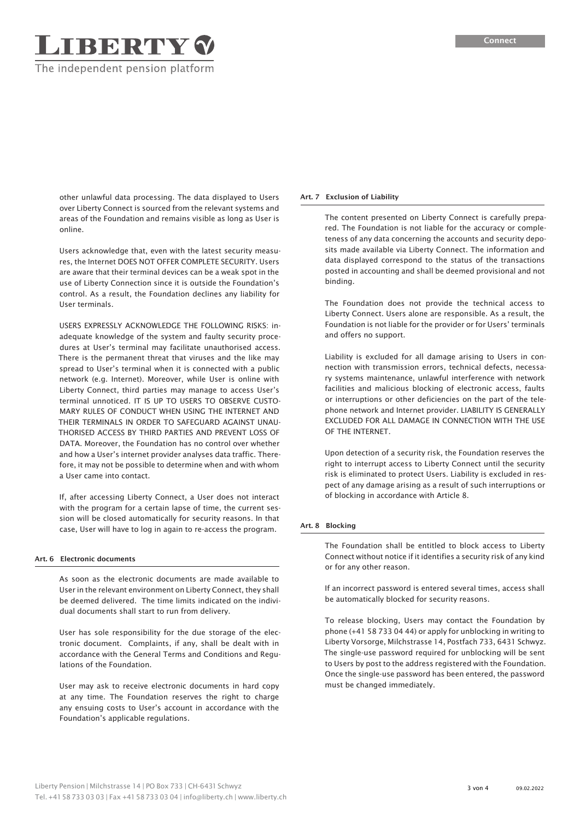other unlawful data processing. The data displayed to Users over Liberty Connect is sourced from the relevant systems and areas of the Foundation and remains visible as long as User is online.

**TBBRTY V** 

The independent pension platform

Users acknowledge that, even with the latest security measures, the Internet DOES NOT OFFER COMPLETE SECURITY. Users are aware that their terminal devices can be a weak spot in the use of Liberty Connection since it is outside the Foundation's control. As a result, the Foundation declines any liability for User terminals.

USERS EXPRESSLY ACKNOWLEDGE THE FOLLOWING RISKS: inadequate knowledge of the system and faulty security procedures at User's terminal may facilitate unauthorised access. There is the permanent threat that viruses and the like may spread to User's terminal when it is connected with a public network (e.g. Internet). Moreover, while User is online with Liberty Connect, third parties may manage to access User's terminal unnoticed. IT IS UP TO USERS TO OBSERVE CUSTO-MARY RULES OF CONDUCT WHEN USING THE INTERNET AND THEIR TERMINALS IN ORDER TO SAFEGUARD AGAINST UNAU-THORISED ACCESS BY THIRD PARTIES AND PREVENT LOSS OF DATA. Moreover, the Foundation has no control over whether and how a User's internet provider analyses data traffic. Therefore, it may not be possible to determine when and with whom a User came into contact.

If, after accessing Liberty Connect, a User does not interact with the program for a certain lapse of time, the current session will be closed automatically for security reasons. In that case, User will have to log in again to re-access the program.

## Art. 6 Electronic documents

As soon as the electronic documents are made available to User in the relevant environment on Liberty Connect, they shall be deemed delivered. The time limits indicated on the individual documents shall start to run from delivery.

User has sole responsibility for the due storage of the electronic document. Complaints, if any, shall be dealt with in accordance with the General Terms and Conditions and Regulations of the Foundation.

User may ask to receive electronic documents in hard copy at any time. The Foundation reserves the right to charge any ensuing costs to User's account in accordance with the Foundation's applicable regulations.

## Art. 7 Exclusion of Liability

The content presented on Liberty Connect is carefully prepared. The Foundation is not liable for the accuracy or completeness of any data concerning the accounts and security deposits made available via Liberty Connect. The information and data displayed correspond to the status of the transactions posted in accounting and shall be deemed provisional and not binding.

The Foundation does not provide the technical access to Liberty Connect. Users alone are responsible. As a result, the Foundation is not liable for the provider or for Users' terminals and offers no support.

Liability is excluded for all damage arising to Users in connection with transmission errors, technical defects, necessary systems maintenance, unlawful interference with network facilities and malicious blocking of electronic access, faults or interruptions or other deficiencies on the part of the telephone network and Internet provider. LIABILITY IS GENERALLY EXCLUDED FOR ALL DAMAGE IN CONNECTION WITH THE USE OF THE INTERNET.

Upon detection of a security risk, the Foundation reserves the right to interrupt access to Liberty Connect until the security risk is eliminated to protect Users. Liability is excluded in respect of any damage arising as a result of such interruptions or of blocking in accordance with Article 8.

## Art. 8 Blocking

The Foundation shall be entitled to block access to Liberty Connect without notice if it identifies a security risk of any kind or for any other reason.

If an incorrect password is entered several times, access shall be automatically blocked for security reasons.

To release blocking, Users may contact the Foundation by phone (+41 58 733 04 44) or apply for unblocking in writing to Liberty Vorsorge, Milchstrasse 14, Postfach 733, 6431 Schwyz. The single-use password required for unblocking will be sent to Users by post to the address registered with the Foundation. Once the single-use password has been entered, the password must be changed immediately.